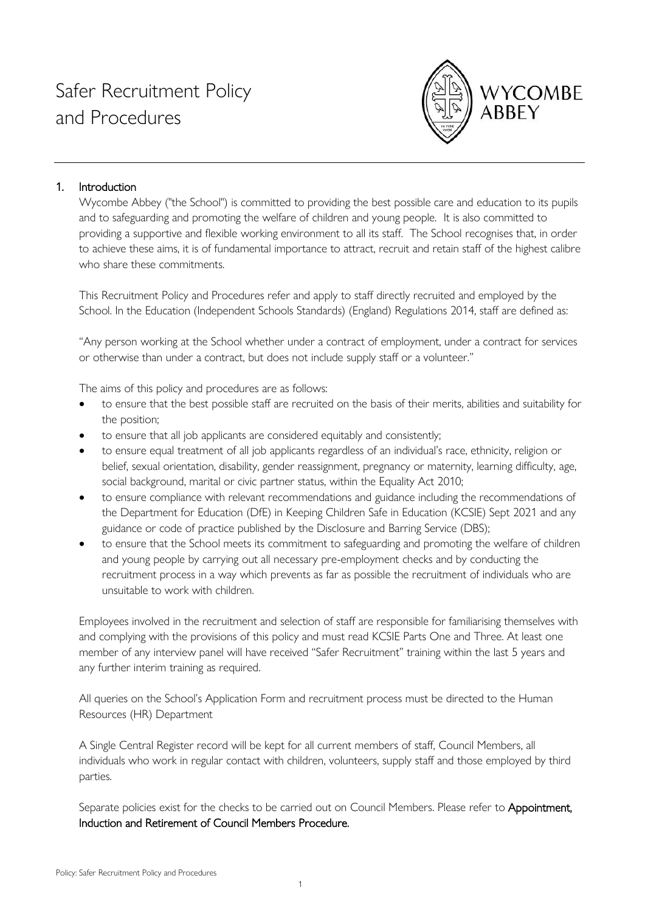

# 1. Introduction

Wycombe Abbey ("the School") is committed to providing the best possible care and education to its pupils and to safeguarding and promoting the welfare of children and young people. It is also committed to providing a supportive and flexible working environment to all its staff. The School recognises that, in order to achieve these aims, it is of fundamental importance to attract, recruit and retain staff of the highest calibre who share these commitments.

This Recruitment Policy and Procedures refer and apply to staff directly recruited and employed by the School. In the Education (Independent Schools Standards) (England) Regulations 2014, staff are defined as:

"Any person working at the School whether under a contract of employment, under a contract for services or otherwise than under a contract, but does not include supply staff or a volunteer."

The aims of this policy and procedures are as follows:

- to ensure that the best possible staff are recruited on the basis of their merits, abilities and suitability for the position;
- to ensure that all job applicants are considered equitably and consistently;
- to ensure equal treatment of all job applicants regardless of an individual's race, ethnicity, religion or belief, sexual orientation, disability, gender reassignment, pregnancy or maternity, learning difficulty, age, social background, marital or civic partner status, within the Equality Act 2010;
- to ensure compliance with relevant recommendations and guidance including the recommendations of the Department for Education (DfE) in Keeping Children Safe in Education (KCSIE) Sept 2021 and any guidance or code of practice published by the Disclosure and Barring Service (DBS);
- to ensure that the School meets its commitment to safeguarding and promoting the welfare of children and young people by carrying out all necessary pre-employment checks and by conducting the recruitment process in a way which prevents as far as possible the recruitment of individuals who are unsuitable to work with children.

Employees involved in the recruitment and selection of staff are responsible for familiarising themselves with and complying with the provisions of this policy and must read KCSIE Parts One and Three. At least one member of any interview panel will have received "Safer Recruitment" training within the last 5 years and any further interim training as required.

All queries on the School's Application Form and recruitment process must be directed to the Human Resources (HR) Department

A Single Central Register record will be kept for all current members of staff, Council Members, all individuals who work in regular contact with children, volunteers, supply staff and those employed by third parties.

Separate policies exist for the checks to be carried out on Council Members. Please refer to Appointment, Induction and Retirement of Council Members Procedure.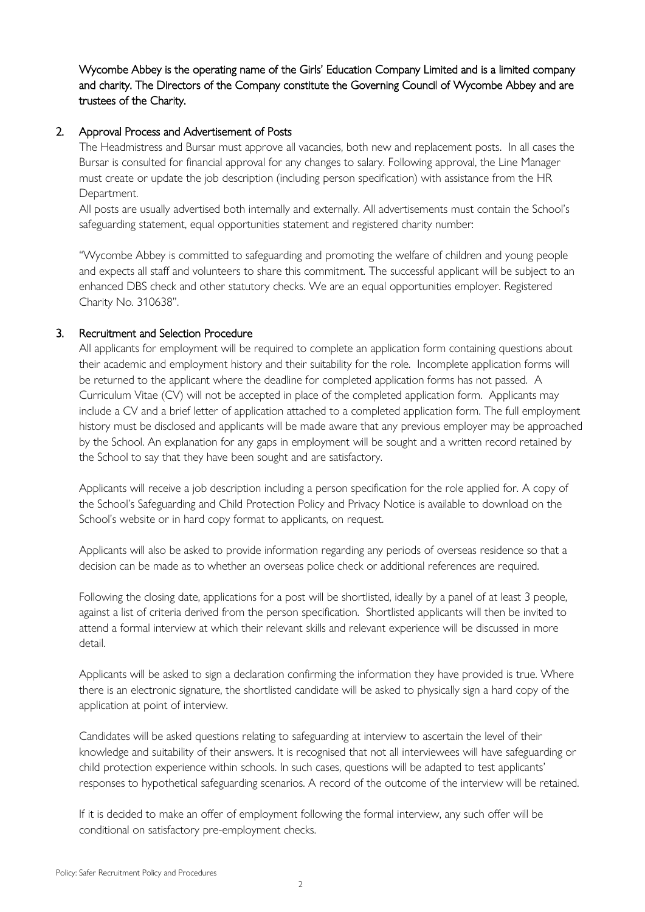Wycombe Abbey is the operating name of the Girls' Education Company Limited and is a limited company and charity. The Directors of the Company constitute the Governing Council of Wycombe Abbey and are trustees of the Charity.

## 2. Approval Process and Advertisement of Posts

The Headmistress and Bursar must approve all vacancies, both new and replacement posts. In all cases the Bursar is consulted for financial approval for any changes to salary. Following approval, the Line Manager must create or update the job description (including person specification) with assistance from the HR Department.

All posts are usually advertised both internally and externally. All advertisements must contain the School's safeguarding statement, equal opportunities statement and registered charity number:

"Wycombe Abbey is committed to safeguarding and promoting the welfare of children and young people and expects all staff and volunteers to share this commitment. The successful applicant will be subject to an enhanced DBS check and other statutory checks. We are an equal opportunities employer. Registered Charity No. 310638".

## 3. Recruitment and Selection Procedure

All applicants for employment will be required to complete an application form containing questions about their academic and employment history and their suitability for the role. Incomplete application forms will be returned to the applicant where the deadline for completed application forms has not passed. A Curriculum Vitae (CV) will not be accepted in place of the completed application form. Applicants may include a CV and a brief letter of application attached to a completed application form. The full employment history must be disclosed and applicants will be made aware that any previous employer may be approached by the School. An explanation for any gaps in employment will be sought and a written record retained by the School to say that they have been sought and are satisfactory.

Applicants will receive a job description including a person specification for the role applied for. A copy of the School's Safeguarding and Child Protection Policy and Privacy Notice is available to download on the School's website or in hard copy format to applicants, on request.

Applicants will also be asked to provide information regarding any periods of overseas residence so that a decision can be made as to whether an overseas police check or additional references are required.

Following the closing date, applications for a post will be shortlisted, ideally by a panel of at least 3 people, against a list of criteria derived from the person specification. Shortlisted applicants will then be invited to attend a formal interview at which their relevant skills and relevant experience will be discussed in more detail.

Applicants will be asked to sign a declaration confirming the information they have provided is true. Where there is an electronic signature, the shortlisted candidate will be asked to physically sign a hard copy of the application at point of interview.

Candidates will be asked questions relating to safeguarding at interview to ascertain the level of their knowledge and suitability of their answers. It is recognised that not all interviewees will have safeguarding or child protection experience within schools. In such cases, questions will be adapted to test applicants' responses to hypothetical safeguarding scenarios. A record of the outcome of the interview will be retained.

If it is decided to make an offer of employment following the formal interview, any such offer will be conditional on satisfactory pre-employment checks.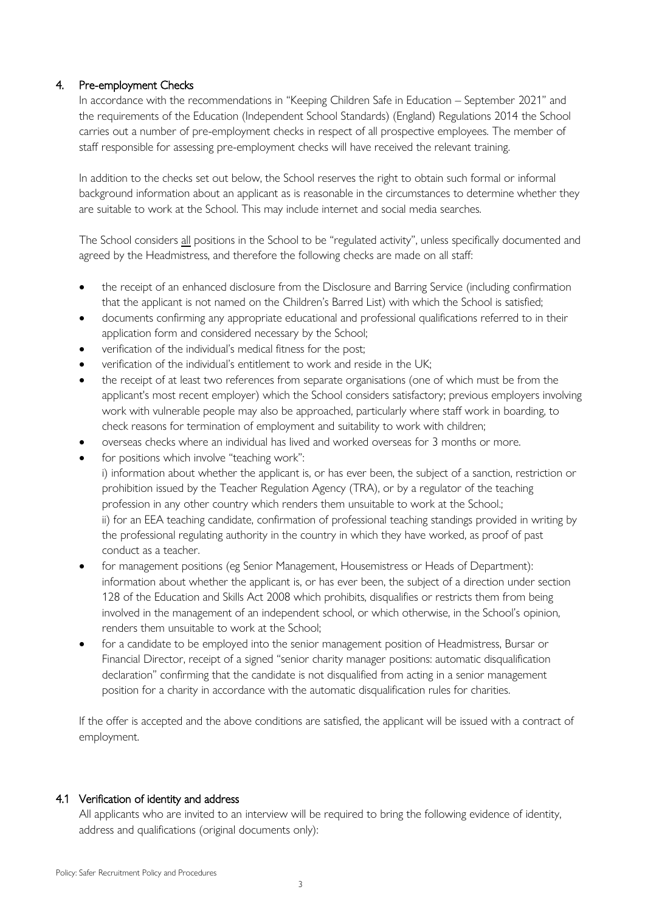# 4. Pre-employment Checks

In accordance with the recommendations in "Keeping Children Safe in Education – September 2021" and the requirements of the Education (Independent School Standards) (England) Regulations 2014 the School carries out a number of pre-employment checks in respect of all prospective employees. The member of staff responsible for assessing pre-employment checks will have received the relevant training.

In addition to the checks set out below, the School reserves the right to obtain such formal or informal background information about an applicant as is reasonable in the circumstances to determine whether they are suitable to work at the School. This may include internet and social media searches.

The School considers all positions in the School to be "regulated activity", unless specifically documented and agreed by the Headmistress, and therefore the following checks are made on all staff:

- the receipt of an enhanced disclosure from the Disclosure and Barring Service (including confirmation that the applicant is not named on the Children's Barred List) with which the School is satisfied;
- documents confirming any appropriate educational and professional qualifications referred to in their application form and considered necessary by the School;
- verification of the individual's medical fitness for the post;
- verification of the individual's entitlement to work and reside in the UK;
- the receipt of at least two references from separate organisations (one of which must be from the applicant's most recent employer) which the School considers satisfactory; previous employers involving work with vulnerable people may also be approached, particularly where staff work in boarding, to check reasons for termination of employment and suitability to work with children;
- overseas checks where an individual has lived and worked overseas for 3 months or more.
- for positions which involve "teaching work": i) information about whether the applicant is, or has ever been, the subject of a sanction, restriction or prohibition issued by the Teacher Regulation Agency (TRA), or by a regulator of the teaching profession in any other country which renders them unsuitable to work at the School.; ii) for an EEA teaching candidate, confirmation of professional teaching standings provided in writing by the professional regulating authority in the country in which they have worked, as proof of past conduct as a teacher.
- for management positions (eg Senior Management, Housemistress or Heads of Department): information about whether the applicant is, or has ever been, the subject of a direction under section 128 of the Education and Skills Act 2008 which prohibits, disqualifies or restricts them from being involved in the management of an independent school, or which otherwise, in the School's opinion, renders them unsuitable to work at the School;
- for a candidate to be employed into the senior management position of Headmistress, Bursar or Financial Director, receipt of a signed "senior charity manager positions: automatic disqualification declaration" confirming that the candidate is not disqualified from acting in a senior management position for a charity in accordance with the automatic disqualification rules for charities.

If the offer is accepted and the above conditions are satisfied, the applicant will be issued with a contract of employment.

### 4.1 Verification of identity and address

All applicants who are invited to an interview will be required to bring the following evidence of identity, address and qualifications (original documents only):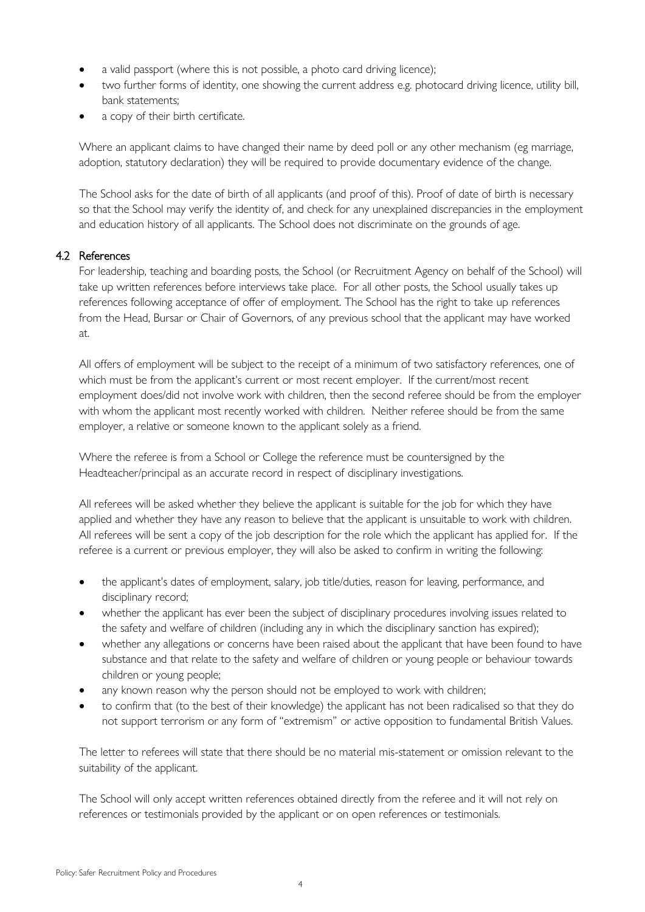- a valid passport (where this is not possible, a photo card driving licence);
- two further forms of identity, one showing the current address e.g. photocard driving licence, utility bill, bank statements;
- a copy of their birth certificate.

Where an applicant claims to have changed their name by deed poll or any other mechanism (eg marriage, adoption, statutory declaration) they will be required to provide documentary evidence of the change.

The School asks for the date of birth of all applicants (and proof of this). Proof of date of birth is necessary so that the School may verify the identity of, and check for any unexplained discrepancies in the employment and education history of all applicants. The School does not discriminate on the grounds of age.

# 4.2 References

For leadership, teaching and boarding posts, the School (or Recruitment Agency on behalf of the School) will take up written references before interviews take place. For all other posts, the School usually takes up references following acceptance of offer of employment. The School has the right to take up references from the Head, Bursar or Chair of Governors, of any previous school that the applicant may have worked at.

All offers of employment will be subject to the receipt of a minimum of two satisfactory references, one of which must be from the applicant's current or most recent employer. If the current/most recent employment does/did not involve work with children, then the second referee should be from the employer with whom the applicant most recently worked with children. Neither referee should be from the same employer, a relative or someone known to the applicant solely as a friend.

Where the referee is from a School or College the reference must be countersigned by the Headteacher/principal as an accurate record in respect of disciplinary investigations.

All referees will be asked whether they believe the applicant is suitable for the job for which they have applied and whether they have any reason to believe that the applicant is unsuitable to work with children. All referees will be sent a copy of the job description for the role which the applicant has applied for. If the referee is a current or previous employer, they will also be asked to confirm in writing the following:

- the applicant's dates of employment, salary, job title/duties, reason for leaving, performance, and disciplinary record;
- whether the applicant has ever been the subject of disciplinary procedures involving issues related to the safety and welfare of children (including any in which the disciplinary sanction has expired);
- whether any allegations or concerns have been raised about the applicant that have been found to have substance and that relate to the safety and welfare of children or young people or behaviour towards children or young people;
- any known reason why the person should not be employed to work with children;
- to confirm that (to the best of their knowledge) the applicant has not been radicalised so that they do not support terrorism or any form of "extremism" or active opposition to fundamental British Values.

The letter to referees will state that there should be no material mis-statement or omission relevant to the suitability of the applicant.

The School will only accept written references obtained directly from the referee and it will not rely on references or testimonials provided by the applicant or on open references or testimonials.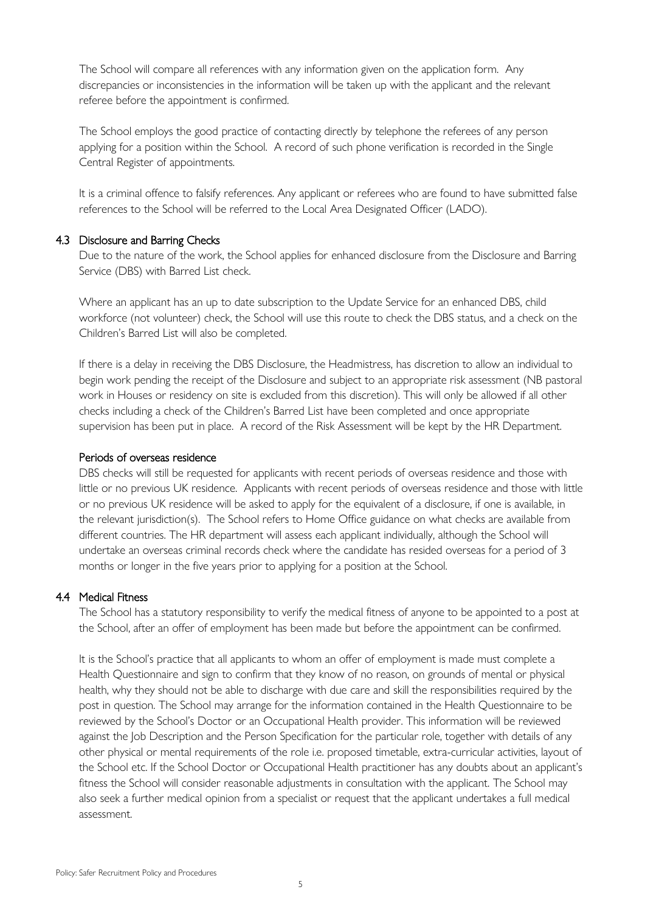The School will compare all references with any information given on the application form. Any discrepancies or inconsistencies in the information will be taken up with the applicant and the relevant referee before the appointment is confirmed.

The School employs the good practice of contacting directly by telephone the referees of any person applying for a position within the School. A record of such phone verification is recorded in the Single Central Register of appointments.

It is a criminal offence to falsify references. Any applicant or referees who are found to have submitted false references to the School will be referred to the Local Area Designated Officer (LADO).

#### 4.3 Disclosure and Barring Checks

Due to the nature of the work, the School applies for enhanced disclosure from the Disclosure and Barring Service (DBS) with Barred List check.

Where an applicant has an up to date subscription to the Update Service for an enhanced DBS, child workforce (not volunteer) check, the School will use this route to check the DBS status, and a check on the Children's Barred List will also be completed.

If there is a delay in receiving the DBS Disclosure, the Headmistress, has discretion to allow an individual to begin work pending the receipt of the Disclosure and subject to an appropriate risk assessment (NB pastoral work in Houses or residency on site is excluded from this discretion). This will only be allowed if all other checks including a check of the Children's Barred List have been completed and once appropriate supervision has been put in place. A record of the Risk Assessment will be kept by the HR Department.

#### Periods of overseas residence

DBS checks will still be requested for applicants with recent periods of overseas residence and those with little or no previous UK residence. Applicants with recent periods of overseas residence and those with little or no previous UK residence will be asked to apply for the equivalent of a disclosure, if one is available, in the relevant jurisdiction(s). The School refers to Home Office guidance on what checks are available from different countries. The HR department will assess each applicant individually, although the School will undertake an overseas criminal records check where the candidate has resided overseas for a period of 3 months or longer in the five years prior to applying for a position at the School.

#### 4.4 Medical Fitness

The School has a statutory responsibility to verify the medical fitness of anyone to be appointed to a post at the School, after an offer of employment has been made but before the appointment can be confirmed.

It is the School's practice that all applicants to whom an offer of employment is made must complete a Health Questionnaire and sign to confirm that they know of no reason, on grounds of mental or physical health, why they should not be able to discharge with due care and skill the responsibilities required by the post in question. The School may arrange for the information contained in the Health Questionnaire to be reviewed by the School's Doctor or an Occupational Health provider. This information will be reviewed against the Job Description and the Person Specification for the particular role, together with details of any other physical or mental requirements of the role i.e. proposed timetable, extra-curricular activities, layout of the School etc. If the School Doctor or Occupational Health practitioner has any doubts about an applicant's fitness the School will consider reasonable adjustments in consultation with the applicant. The School may also seek a further medical opinion from a specialist or request that the applicant undertakes a full medical assessment.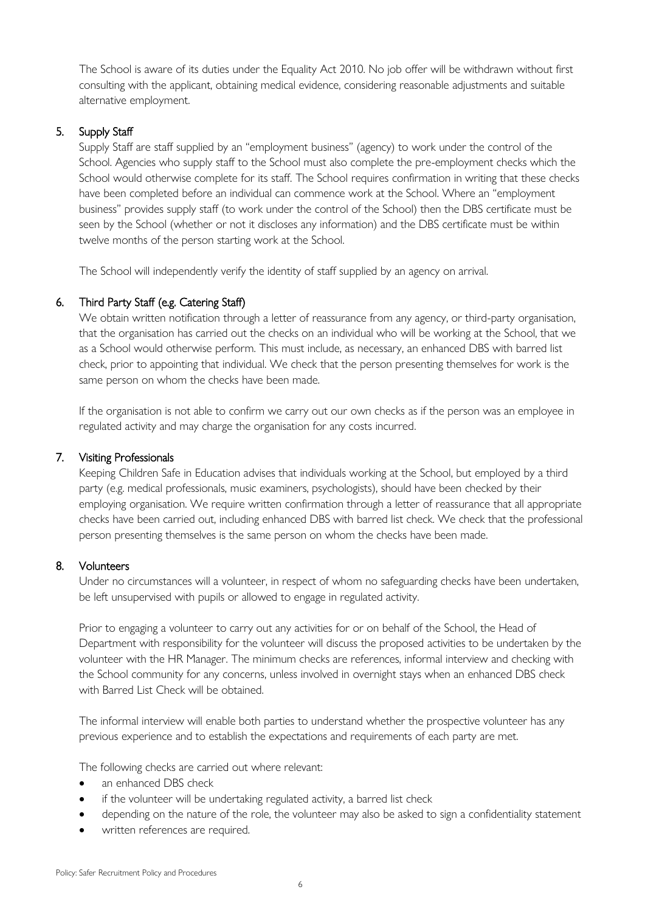The School is aware of its duties under the Equality Act 2010. No job offer will be withdrawn without first consulting with the applicant, obtaining medical evidence, considering reasonable adjustments and suitable alternative employment.

# 5. Supply Staff

Supply Staff are staff supplied by an "employment business" (agency) to work under the control of the School. Agencies who supply staff to the School must also complete the pre-employment checks which the School would otherwise complete for its staff. The School requires confirmation in writing that these checks have been completed before an individual can commence work at the School. Where an "employment business" provides supply staff (to work under the control of the School) then the DBS certificate must be seen by the School (whether or not it discloses any information) and the DBS certificate must be within twelve months of the person starting work at the School.

The School will independently verify the identity of staff supplied by an agency on arrival.

## 6. Third Party Staff (e.g. Catering Staff)

We obtain written notification through a letter of reassurance from any agency, or third-party organisation, that the organisation has carried out the checks on an individual who will be working at the School, that we as a School would otherwise perform. This must include, as necessary, an enhanced DBS with barred list check, prior to appointing that individual. We check that the person presenting themselves for work is the same person on whom the checks have been made.

If the organisation is not able to confirm we carry out our own checks as if the person was an employee in regulated activity and may charge the organisation for any costs incurred.

### 7. Visiting Professionals

Keeping Children Safe in Education advises that individuals working at the School, but employed by a third party (e.g. medical professionals, music examiners, psychologists), should have been checked by their employing organisation. We require written confirmation through a letter of reassurance that all appropriate checks have been carried out, including enhanced DBS with barred list check. We check that the professional person presenting themselves is the same person on whom the checks have been made.

### 8. Volunteers

Under no circumstances will a volunteer, in respect of whom no safeguarding checks have been undertaken, be left unsupervised with pupils or allowed to engage in regulated activity.

Prior to engaging a volunteer to carry out any activities for or on behalf of the School, the Head of Department with responsibility for the volunteer will discuss the proposed activities to be undertaken by the volunteer with the HR Manager. The minimum checks are references, informal interview and checking with the School community for any concerns, unless involved in overnight stays when an enhanced DBS check with Barred List Check will be obtained.

The informal interview will enable both parties to understand whether the prospective volunteer has any previous experience and to establish the expectations and requirements of each party are met.

The following checks are carried out where relevant:

- an enhanced DBS check
- if the volunteer will be undertaking regulated activity, a barred list check
- depending on the nature of the role, the volunteer may also be asked to sign a confidentiality statement
- written references are required.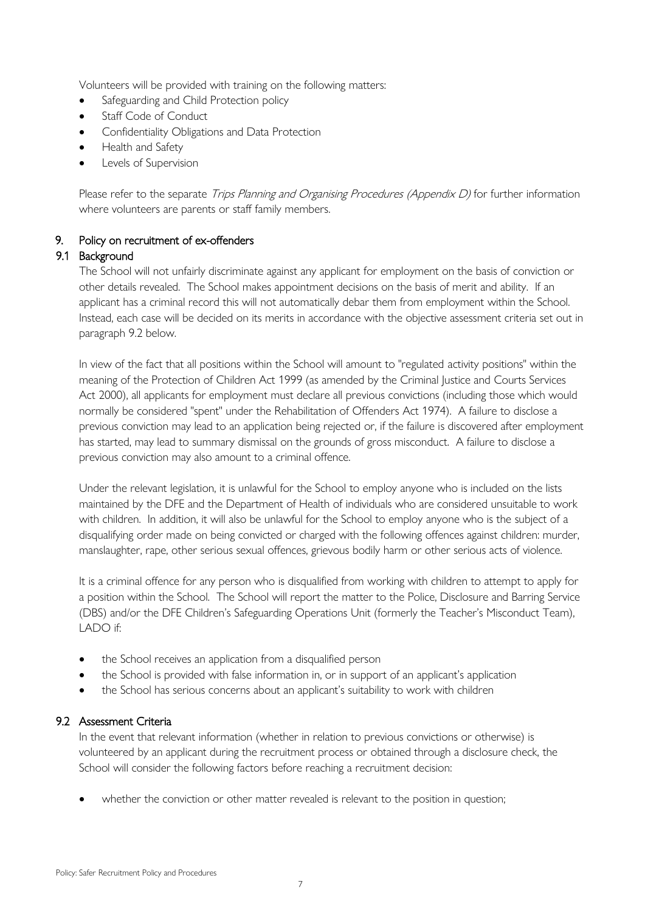Volunteers will be provided with training on the following matters:

- Safeguarding and Child Protection policy
- Staff Code of Conduct
- Confidentiality Obligations and Data Protection
- Health and Safety
- Levels of Supervision

Please refer to the separate Trips Planning and Organising Procedures (Appendix D) for further information where volunteers are parents or staff family members.

## 9. Policy on recruitment of ex-offenders

### 9.1 Background

The School will not unfairly discriminate against any applicant for employment on the basis of conviction or other details revealed. The School makes appointment decisions on the basis of merit and ability. If an applicant has a criminal record this will not automatically debar them from employment within the School. Instead, each case will be decided on its merits in accordance with the objective assessment criteria set out in paragraph 9.2 below.

In view of the fact that all positions within the School will amount to "regulated activity positions" within the meaning of the Protection of Children Act 1999 (as amended by the Criminal Justice and Courts Services Act 2000), all applicants for employment must declare all previous convictions (including those which would normally be considered "spent" under the Rehabilitation of Offenders Act 1974). A failure to disclose a previous conviction may lead to an application being rejected or, if the failure is discovered after employment has started, may lead to summary dismissal on the grounds of gross misconduct. A failure to disclose a previous conviction may also amount to a criminal offence.

Under the relevant legislation, it is unlawful for the School to employ anyone who is included on the lists maintained by the DFE and the Department of Health of individuals who are considered unsuitable to work with children. In addition, it will also be unlawful for the School to employ anyone who is the subject of a disqualifying order made on being convicted or charged with the following offences against children: murder, manslaughter, rape, other serious sexual offences, grievous bodily harm or other serious acts of violence.

It is a criminal offence for any person who is disqualified from working with children to attempt to apply for a position within the School. The School will report the matter to the Police, Disclosure and Barring Service (DBS) and/or the DFE Children's Safeguarding Operations Unit (formerly the Teacher's Misconduct Team), LADO if:

- the School receives an application from a disqualified person
- the School is provided with false information in, or in support of an applicant's application
- the School has serious concerns about an applicant's suitability to work with children

# 9.2 Assessment Criteria

In the event that relevant information (whether in relation to previous convictions or otherwise) is volunteered by an applicant during the recruitment process or obtained through a disclosure check, the School will consider the following factors before reaching a recruitment decision:

whether the conviction or other matter revealed is relevant to the position in question;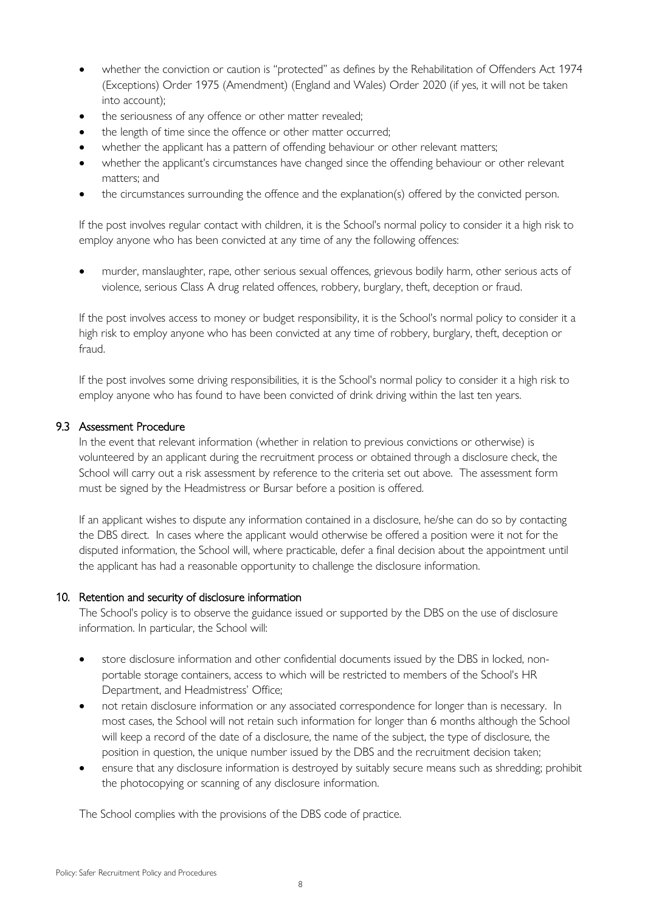- whether the conviction or caution is "protected" as defines by the Rehabilitation of Offenders Act 1974 (Exceptions) Order 1975 (Amendment) (England and Wales) Order 2020 (if yes, it will not be taken into account);
- the seriousness of any offence or other matter revealed;
- the length of time since the offence or other matter occurred;
- whether the applicant has a pattern of offending behaviour or other relevant matters;
- whether the applicant's circumstances have changed since the offending behaviour or other relevant matters; and
- the circumstances surrounding the offence and the explanation(s) offered by the convicted person.

If the post involves regular contact with children, it is the School's normal policy to consider it a high risk to employ anyone who has been convicted at any time of any the following offences:

• murder, manslaughter, rape, other serious sexual offences, grievous bodily harm, other serious acts of violence, serious Class A drug related offences, robbery, burglary, theft, deception or fraud.

If the post involves access to money or budget responsibility, it is the School's normal policy to consider it a high risk to employ anyone who has been convicted at any time of robbery, burglary, theft, deception or fraud.

If the post involves some driving responsibilities, it is the School's normal policy to consider it a high risk to employ anyone who has found to have been convicted of drink driving within the last ten years.

## 9.3 Assessment Procedure

In the event that relevant information (whether in relation to previous convictions or otherwise) is volunteered by an applicant during the recruitment process or obtained through a disclosure check, the School will carry out a risk assessment by reference to the criteria set out above. The assessment form must be signed by the Headmistress or Bursar before a position is offered.

If an applicant wishes to dispute any information contained in a disclosure, he/she can do so by contacting the DBS direct. In cases where the applicant would otherwise be offered a position were it not for the disputed information, the School will, where practicable, defer a final decision about the appointment until the applicant has had a reasonable opportunity to challenge the disclosure information.

### 10. Retention and security of disclosure information

The School's policy is to observe the guidance issued or supported by the DBS on the use of disclosure information. In particular, the School will:

- store disclosure information and other confidential documents issued by the DBS in locked, nonportable storage containers, access to which will be restricted to members of the School's HR Department, and Headmistress' Office;
- not retain disclosure information or any associated correspondence for longer than is necessary. In most cases, the School will not retain such information for longer than 6 months although the School will keep a record of the date of a disclosure, the name of the subject, the type of disclosure, the position in question, the unique number issued by the DBS and the recruitment decision taken;
- ensure that any disclosure information is destroyed by suitably secure means such as shredding; prohibit the photocopying or scanning of any disclosure information.

The School complies with the provisions of the DBS code of practice.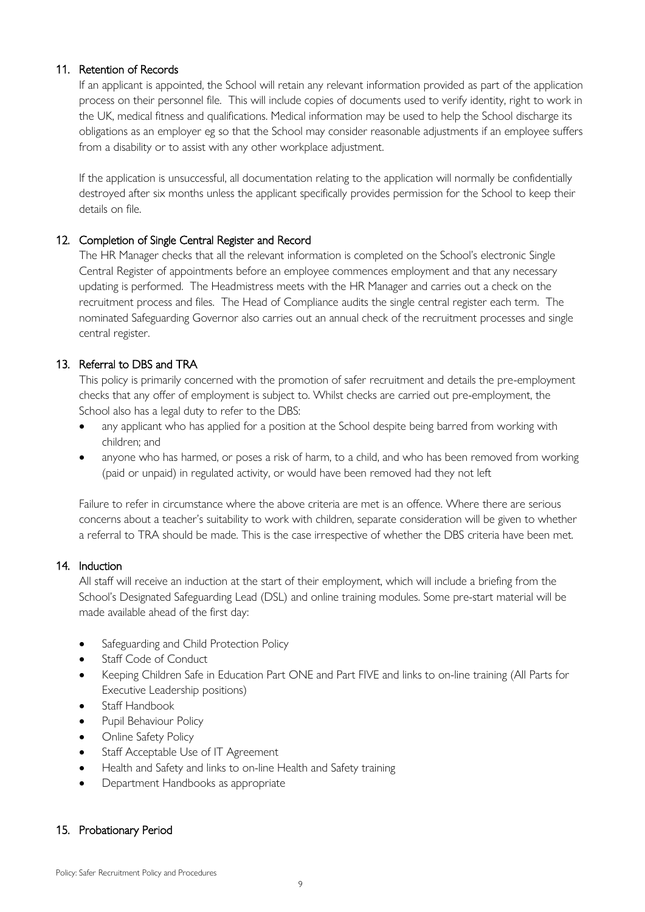### 11. Retention of Records

If an applicant is appointed, the School will retain any relevant information provided as part of the application process on their personnel file. This will include copies of documents used to verify identity, right to work in the UK, medical fitness and qualifications. Medical information may be used to help the School discharge its obligations as an employer eg so that the School may consider reasonable adjustments if an employee suffers from a disability or to assist with any other workplace adjustment.

If the application is unsuccessful, all documentation relating to the application will normally be confidentially destroyed after six months unless the applicant specifically provides permission for the School to keep their details on file.

## 12. Completion of Single Central Register and Record

The HR Manager checks that all the relevant information is completed on the School's electronic Single Central Register of appointments before an employee commences employment and that any necessary updating is performed. The Headmistress meets with the HR Manager and carries out a check on the recruitment process and files. The Head of Compliance audits the single central register each term. The nominated Safeguarding Governor also carries out an annual check of the recruitment processes and single central register.

## 13. Referral to DBS and TRA

This policy is primarily concerned with the promotion of safer recruitment and details the pre-employment checks that any offer of employment is subject to. Whilst checks are carried out pre-employment, the School also has a legal duty to refer to the DBS:

- any applicant who has applied for a position at the School despite being barred from working with children; and
- anyone who has harmed, or poses a risk of harm, to a child, and who has been removed from working (paid or unpaid) in regulated activity, or would have been removed had they not left

Failure to refer in circumstance where the above criteria are met is an offence. Where there are serious concerns about a teacher's suitability to work with children, separate consideration will be given to whether a referral to TRA should be made. This is the case irrespective of whether the DBS criteria have been met.

### 14. Induction

All staff will receive an induction at the start of their employment, which will include a briefing from the School's Designated Safeguarding Lead (DSL) and online training modules. Some pre-start material will be made available ahead of the first day:

- Safeguarding and Child Protection Policy
- Staff Code of Conduct
- Keeping Children Safe in Education Part ONE and Part FIVE and links to on-line training (All Parts for Executive Leadership positions)
- Staff Handbook
- Pupil Behaviour Policy
- Online Safety Policy
- Staff Acceptable Use of IT Agreement
- Health and Safety and links to on-line Health and Safety training
- Department Handbooks as appropriate

### 15. Probationary Period